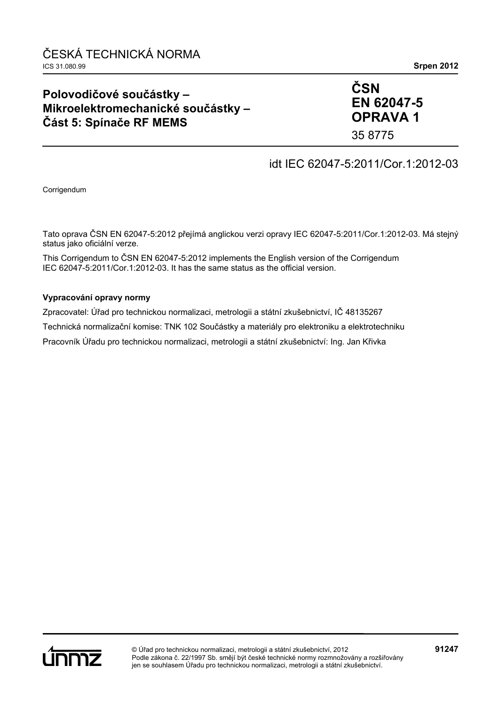# **Polovodičové součástky – Mikroelektromechanické součástky – Část 5: Spínače RF MEMS**

**ČSN EN 62047-5 OPRAVA 1** 35 8775

# idt IEC 62047-5:2011/Cor.1:2012-03

Corrigendum

Tato oprava ČSN EN 62047-5:2012 přejímá anglickou verzi opravy IEC 62047-5:2011/Cor.1:2012-03. Má stejný status jako oficiální verze.

This Corrigendum to ČSN EN 62047-5:2012 implements the English version of the Corrigendum IEC 62047-5:2011/Cor.1:2012-03. It has the same status as the official version.

## **Vypracování opravy normy**

Zpracovatel: Úřad pro technickou normalizaci, metrologii a státní zkušebnictví, IČ 48135267

Technická normalizační komise: TNK 102 Součástky a materiály pro elektroniku a elektrotechniku

Pracovník Úřadu pro technickou normalizaci, metrologii a státní zkušebnictví: Ing. Jan Křivka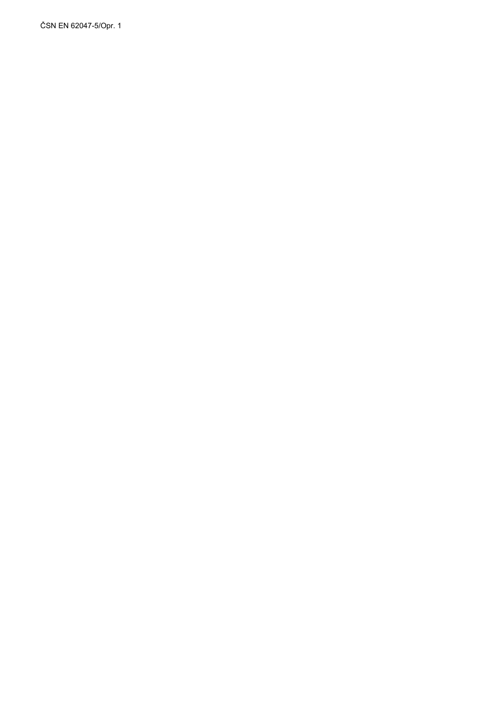ČSN EN 62047-5/Opr. 1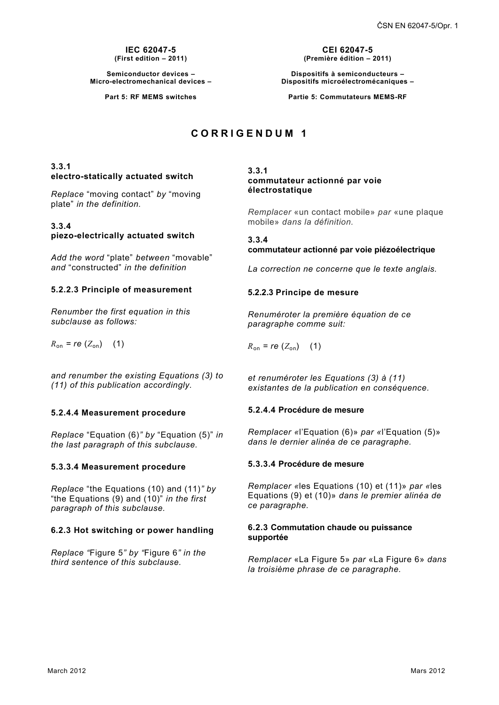**IEC 62047-5 (First edition – 2011)** 

**Semiconductor devices – Micro-electromechanical devices –** 

**Part 5: RF MEMS switches**

**CEI 62047-5 (Première édition – 2011)** 

**Dispositifs à semiconducteurs – Dispositifs microélectromécaniques –** 

**Partie 5: Commutateurs MEMS-RF**

# **CORRIGENDUM 1**

#### **3.3.1 electro-statically actuated switch**

*Replace* "moving contact" *by* "moving plate" *in the definition.*

#### **3.3.4 piezo-electrically actuated switch**

*Add the word* "plate" *between* "movable" *and* "constructed" *in the definition*

## **5.2.2.3 Principle of measurement**

*Renumber the first equation in this subclause as follows:*

 $R_{\text{on}} = re(Z_{\text{on}})$  (1)

*and renumber the existing Equations (3) to (11) of this publication accordingly.* 

## **5.2.4.4 Measurement procedure**

*Replace* "Equation (6)*" by* "Equation (5)" *in the last paragraph of this subclause.*

## **5.3.3.4 Measurement procedure**

*Replace* "the Equations (10) and (11)*" by*  "the Equations (9) and (10)" *in the first paragraph of this subclause.*

## **6.2.3 Hot switching or power handling**

*Replace "*Figure 5*" by "*Figure 6*" in the third sentence of this subclause.*

#### **3.3.1 commutateur actionné par voie électrostatique**

*Remplacer* «un contact mobile» *par* «une plaque mobile» *dans la définition.* 

# **3.3.4 commutateur actionné par voie piézoélectrique**

*La correction ne concerne que le texte anglais.*

## **5.2.2.3 Principe de mesure**

*Renuméroter la première équation de ce paragraphe comme suit:*

 $R_{\text{on}} = re(Z_{\text{on}})$  (1)

*et renuméroter les Equations (3) à (11) existantes de la publication en conséquence.* 

#### **5.2.4.4 Procédure de mesure**

*Remplacer «*l'Equation (6)» *par «*l'Equation (5)» *dans le dernier alinéa de ce paragraphe.*

## **5.3.3.4 Procédure de mesure**

*Remplacer «*les Equations (10) et (11)» *par «*les Equations (9) et (10)» *dans le premier alinéa de ce paragraphe.*

#### **6.2.3 Commutation chaude ou puissance supportée**

*Remplacer* «La Figure 5» *par* «La Figure 6» *dans la troisième phrase de ce paragraphe.*